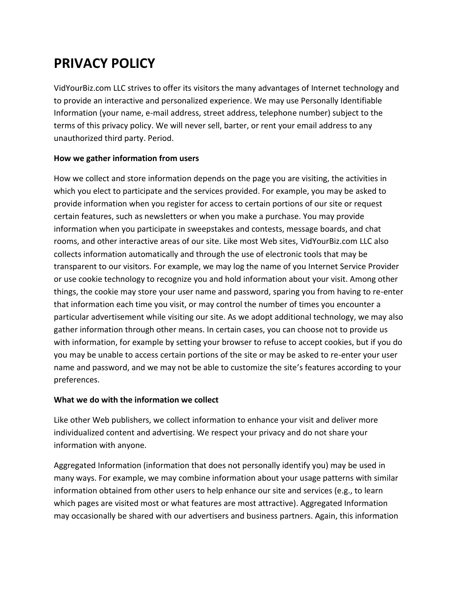# **PRIVACY POLICY**

VidYourBiz.com LLC strives to offer its visitors the many advantages of Internet technology and to provide an interactive and personalized experience. We may use Personally Identifiable Information (your name, e-mail address, street address, telephone number) subject to the terms of this privacy policy. We will never sell, barter, or rent your email address to any unauthorized third party. Period.

### **How we gather information from users**

How we collect and store information depends on the page you are visiting, the activities in which you elect to participate and the services provided. For example, you may be asked to provide information when you register for access to certain portions of our site or request certain features, such as newsletters or when you make a purchase. You may provide information when you participate in sweepstakes and contests, message boards, and chat rooms, and other interactive areas of our site. Like most Web sites, VidYourBiz.com LLC also collects information automatically and through the use of electronic tools that may be transparent to our visitors. For example, we may log the name of you Internet Service Provider or use cookie technology to recognize you and hold information about your visit. Among other things, the cookie may store your user name and password, sparing you from having to re-enter that information each time you visit, or may control the number of times you encounter a particular advertisement while visiting our site. As we adopt additional technology, we may also gather information through other means. In certain cases, you can choose not to provide us with information, for example by setting your browser to refuse to accept cookies, but if you do you may be unable to access certain portions of the site or may be asked to re-enter your user name and password, and we may not be able to customize the site's features according to your preferences.

### **What we do with the information we collect**

Like other Web publishers, we collect information to enhance your visit and deliver more individualized content and advertising. We respect your privacy and do not share your information with anyone.

Aggregated Information (information that does not personally identify you) may be used in many ways. For example, we may combine information about your usage patterns with similar information obtained from other users to help enhance our site and services (e.g., to learn which pages are visited most or what features are most attractive). Aggregated Information may occasionally be shared with our advertisers and business partners. Again, this information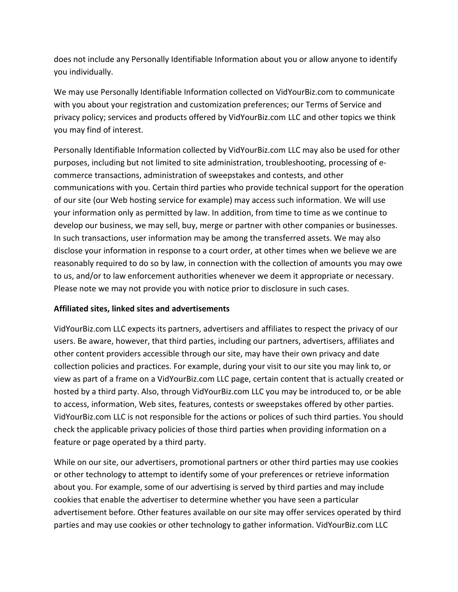does not include any Personally Identifiable Information about you or allow anyone to identify you individually.

We may use Personally Identifiable Information collected on VidYourBiz.com to communicate with you about your registration and customization preferences; our Terms of Service and privacy policy; services and products offered by VidYourBiz.com LLC and other topics we think you may find of interest.

Personally Identifiable Information collected by VidYourBiz.com LLC may also be used for other purposes, including but not limited to site administration, troubleshooting, processing of ecommerce transactions, administration of sweepstakes and contests, and other communications with you. Certain third parties who provide technical support for the operation of our site (our Web hosting service for example) may access such information. We will use your information only as permitted by law. In addition, from time to time as we continue to develop our business, we may sell, buy, merge or partner with other companies or businesses. In such transactions, user information may be among the transferred assets. We may also disclose your information in response to a court order, at other times when we believe we are reasonably required to do so by law, in connection with the collection of amounts you may owe to us, and/or to law enforcement authorities whenever we deem it appropriate or necessary. Please note we may not provide you with notice prior to disclosure in such cases.

### **Affiliated sites, linked sites and advertisements**

VidYourBiz.com LLC expects its partners, advertisers and affiliates to respect the privacy of our users. Be aware, however, that third parties, including our partners, advertisers, affiliates and other content providers accessible through our site, may have their own privacy and date collection policies and practices. For example, during your visit to our site you may link to, or view as part of a frame on a VidYourBiz.com LLC page, certain content that is actually created or hosted by a third party. Also, through VidYourBiz.com LLC you may be introduced to, or be able to access, information, Web sites, features, contests or sweepstakes offered by other parties. VidYourBiz.com LLC is not responsible for the actions or polices of such third parties. You should check the applicable privacy policies of those third parties when providing information on a feature or page operated by a third party.

While on our site, our advertisers, promotional partners or other third parties may use cookies or other technology to attempt to identify some of your preferences or retrieve information about you. For example, some of our advertising is served by third parties and may include cookies that enable the advertiser to determine whether you have seen a particular advertisement before. Other features available on our site may offer services operated by third parties and may use cookies or other technology to gather information. VidYourBiz.com LLC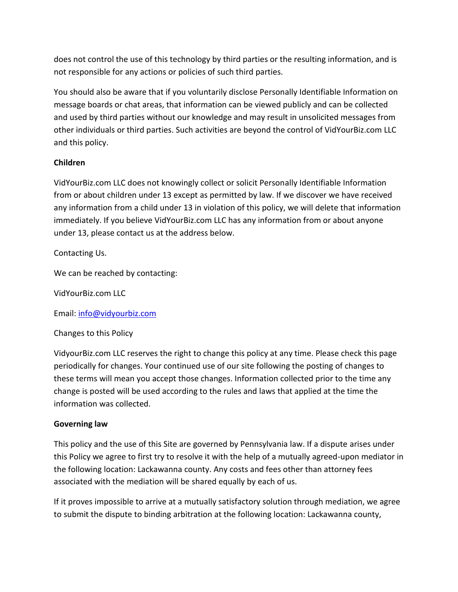does not control the use of this technology by third parties or the resulting information, and is not responsible for any actions or policies of such third parties.

You should also be aware that if you voluntarily disclose Personally Identifiable Information on message boards or chat areas, that information can be viewed publicly and can be collected and used by third parties without our knowledge and may result in unsolicited messages from other individuals or third parties. Such activities are beyond the control of VidYourBiz.com LLC and this policy.

## **Children**

VidYourBiz.com LLC does not knowingly collect or solicit Personally Identifiable Information from or about children under 13 except as permitted by law. If we discover we have received any information from a child under 13 in violation of this policy, we will delete that information immediately. If you believe VidYourBiz.com LLC has any information from or about anyone under 13, please contact us at the address below.

Contacting Us.

We can be reached by contacting:

VidYourBiz.com LLC

Email: [info@vidyourbiz.com](mailto:info@vidyourbiz.com)

Changes to this Policy

VidyourBiz.com LLC reserves the right to change this policy at any time. Please check this page periodically for changes. Your continued use of our site following the posting of changes to these terms will mean you accept those changes. Information collected prior to the time any change is posted will be used according to the rules and laws that applied at the time the information was collected.

### **Governing law**

This policy and the use of this Site are governed by Pennsylvania law. If a dispute arises under this Policy we agree to first try to resolve it with the help of a mutually agreed-upon mediator in the following location: Lackawanna county. Any costs and fees other than attorney fees associated with the mediation will be shared equally by each of us.

If it proves impossible to arrive at a mutually satisfactory solution through mediation, we agree to submit the dispute to binding arbitration at the following location: Lackawanna county,